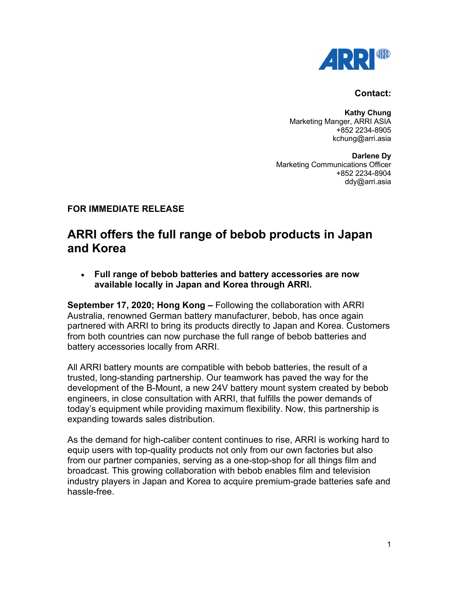

## **Contact:**

**Kathy Chung** Marketing Manger, ARRI ASIA +852 2234-8905 kchung@arri.asia

**Darlene Dy** Marketing Communications Officer +852 2234-8904 ddy@arri.asia

## **FOR IMMEDIATE RELEASE**

# **ARRI offers the full range of bebob products in Japan and Korea**

• **Full range of bebob batteries and battery accessories are now available locally in Japan and Korea through ARRI.**

**September 17, 2020; Hong Kong –** Following the collaboration with ARRI Australia, renowned German battery manufacturer, bebob, has once again partnered with ARRI to bring its products directly to Japan and Korea. Customers from both countries can now purchase the full range of bebob batteries and battery accessories locally from ARRI.

All ARRI battery mounts are compatible with bebob batteries, the result of a trusted, long-standing partnership. Our teamwork has paved the way for the development of the B-Mount, a new 24V battery mount system created by bebob engineers, in close consultation with ARRI, that fulfills the power demands of today's equipment while providing maximum flexibility. Now, this partnership is expanding towards sales distribution.

As the demand for high-caliber content continues to rise, ARRI is working hard to equip users with top-quality products not only from our own factories but also from our partner companies, serving as a one-stop-shop for all things film and broadcast. This growing collaboration with bebob enables film and television industry players in Japan and Korea to acquire premium-grade batteries safe and hassle-free.